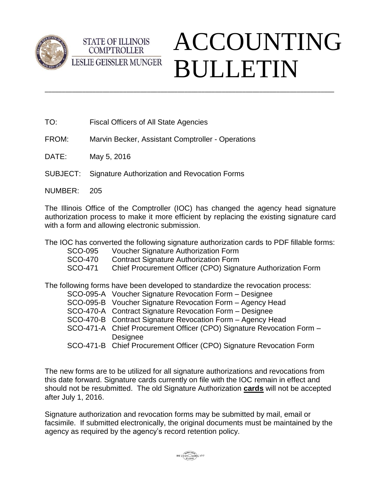



TO: Fiscal Officers of All State Agencies

**COMPTROLLER** 

- FROM: Marvin Becker, Assistant Comptroller Operations
- DATE: May 5, 2016
- SUBJECT: Signature Authorization and Revocation Forms
- NUMBER: 205

The Illinois Office of the Comptroller (IOC) has changed the agency head signature authorization process to make it more efficient by replacing the existing signature card with a form and allowing electronic submission.

\_\_\_\_\_\_\_\_\_\_\_\_\_\_\_\_\_\_\_\_\_\_\_\_\_\_\_\_\_\_\_\_\_\_\_\_\_\_\_\_\_\_\_\_\_\_\_\_\_\_\_\_\_\_\_\_\_\_\_\_\_\_\_\_\_\_\_\_\_\_\_\_\_\_\_\_\_\_\_\_\_\_\_\_\_

The IOC has converted the following signature authorization cards to PDF fillable forms:

- SCO-095 Voucher Signature Authorization Form
- SCO-470 Contract Signature Authorization Form
- SCO-471 Chief Procurement Officer (CPO) Signature Authorization Form

The following forms have been developed to standardize the revocation process:

- SCO-095-A Voucher Signature Revocation Form Designee
- SCO-095-B Voucher Signature Revocation Form Agency Head
- SCO-470-A Contract Signature Revocation Form Designee
- SCO-470-B Contract Signature Revocation Form Agency Head
- SCO-471-A Chief Procurement Officer (CPO) Signature Revocation Form **Designee**
- SCO-471-B Chief Procurement Officer (CPO) Signature Revocation Form

The new forms are to be utilized for all signature authorizations and revocations from this date forward. Signature cards currently on file with the IOC remain in effect and should not be resubmitted. The old Signature Authorization **cards** will not be accepted after July 1, 2016.

Signature authorization and revocation forms may be submitted by mail, email or facsimile. If submitted electronically, the original documents must be maintained by the agency as required by the agency's record retention policy.